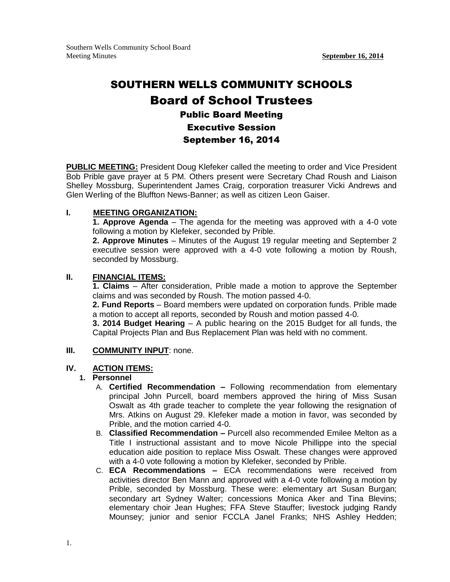# SOUTHERN WELLS COMMUNITY SCHOOLS Board of School Trustees Public Board Meeting Executive Session September 16, 2014

**PUBLIC MEETING:** President Doug Klefeker called the meeting to order and Vice President Bob Prible gave prayer at 5 PM. Others present were Secretary Chad Roush and Liaison Shelley Mossburg, Superintendent James Craig, corporation treasurer Vicki Andrews and Glen Werling of the Bluffton News-Banner; as well as citizen Leon Gaiser.

### **I. MEETING ORGANIZATION:**

**1. Approve Agenda** – The agenda for the meeting was approved with a 4-0 vote following a motion by Klefeker, seconded by Prible.

**2. Approve Minutes** – Minutes of the August 19 regular meeting and September 2 executive session were approved with a 4-0 vote following a motion by Roush, seconded by Mossburg.

#### **II. FINANCIAL ITEMS:**

**1. Claims** – After consideration, Prible made a motion to approve the September claims and was seconded by Roush. The motion passed 4-0.

**2. Fund Reports** – Board members were updated on corporation funds. Prible made a motion to accept all reports, seconded by Roush and motion passed 4-0.

**3. 2014 Budget Hearing** – A public hearing on the 2015 Budget for all funds, the Capital Projects Plan and Bus Replacement Plan was held with no comment.

#### **III. COMMUNITY INPUT**: none.

### **IV. ACTION ITEMS:**

# **1. Personnel**

- A. **Certified Recommendation –** Following recommendation from elementary principal John Purcell, board members approved the hiring of Miss Susan Oswalt as 4th grade teacher to complete the year following the resignation of Mrs. Atkins on August 29. Klefeker made a motion in favor, was seconded by Prible, and the motion carried 4-0.
- B. **Classified Recommendation –** Purcell also recommended Emilee Melton as a Title I instructional assistant and to move Nicole Phillippe into the special education aide position to replace Miss Oswalt. These changes were approved with a 4-0 vote following a motion by Klefeker, seconded by Prible.
- C. **ECA Recommendations –** ECA recommendations were received from activities director Ben Mann and approved with a 4-0 vote following a motion by Prible, seconded by Mossburg. These were: elementary art Susan Burgan; secondary art Sydney Walter; concessions Monica Aker and Tina Blevins; elementary choir Jean Hughes; FFA Steve Stauffer; livestock judging Randy Mounsey; junior and senior FCCLA Janel Franks; NHS Ashley Hedden;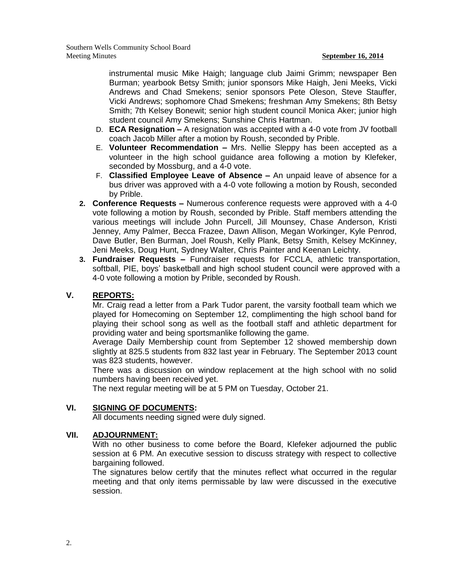instrumental music Mike Haigh; language club Jaimi Grimm; newspaper Ben Burman; yearbook Betsy Smith; junior sponsors Mike Haigh, Jeni Meeks, Vicki Andrews and Chad Smekens; senior sponsors Pete Oleson, Steve Stauffer, Vicki Andrews; sophomore Chad Smekens; freshman Amy Smekens; 8th Betsy Smith; 7th Kelsey Bonewit; senior high student council Monica Aker; junior high student council Amy Smekens; Sunshine Chris Hartman.

- D. **ECA Resignation –** A resignation was accepted with a 4-0 vote from JV football coach Jacob Miller after a motion by Roush, seconded by Prible.
- E. **Volunteer Recommendation –** Mrs. Nellie Sleppy has been accepted as a volunteer in the high school guidance area following a motion by Klefeker, seconded by Mossburg, and a 4-0 vote.
- F. **Classified Employee Leave of Absence –** An unpaid leave of absence for a bus driver was approved with a 4-0 vote following a motion by Roush, seconded by Prible.
- **2. Conference Requests –** Numerous conference requests were approved with a 4-0 vote following a motion by Roush, seconded by Prible. Staff members attending the various meetings will include John Purcell, Jill Mounsey, Chase Anderson, Kristi Jenney, Amy Palmer, Becca Frazee, Dawn Allison, Megan Workinger, Kyle Penrod, Dave Butler, Ben Burman, Joel Roush, Kelly Plank, Betsy Smith, Kelsey McKinney, Jeni Meeks, Doug Hunt, Sydney Walter, Chris Painter and Keenan Leichty.
- **3. Fundraiser Requests –** Fundraiser requests for FCCLA, athletic transportation, softball, PIE, boys' basketball and high school student council were approved with a 4-0 vote following a motion by Prible, seconded by Roush.

# **V. REPORTS:**

Mr. Craig read a letter from a Park Tudor parent, the varsity football team which we played for Homecoming on September 12, complimenting the high school band for playing their school song as well as the football staff and athletic department for providing water and being sportsmanlike following the game.

Average Daily Membership count from September 12 showed membership down slightly at 825.5 students from 832 last year in February. The September 2013 count was 823 students, however.

There was a discussion on window replacement at the high school with no solid numbers having been received yet.

The next regular meeting will be at 5 PM on Tuesday, October 21.

# **VI. SIGNING OF DOCUMENTS:**

All documents needing signed were duly signed.

# **VII. ADJOURNMENT:**

With no other business to come before the Board, Klefeker adjourned the public session at 6 PM. An executive session to discuss strategy with respect to collective bargaining followed.

The signatures below certify that the minutes reflect what occurred in the regular meeting and that only items permissable by law were discussed in the executive session.